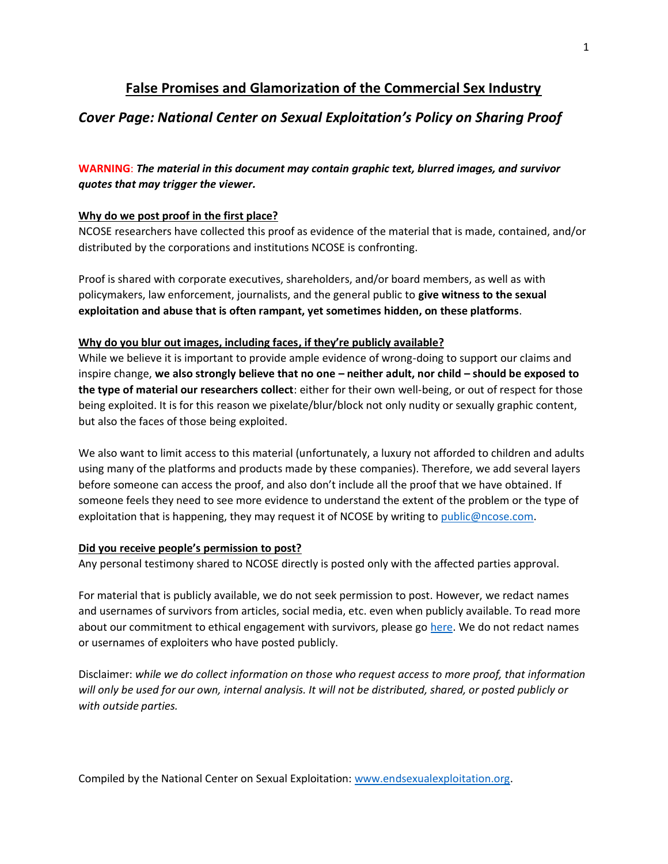# **False Promises and Glamorization of the Commercial Sex Industry**

# *Cover Page: National Center on Sexual Exploitation's Policy on Sharing Proof*

# **WARNING**: *The material in this document may contain graphic text, blurred images, and survivor quotes that may trigger the viewer.*

## **Why do we post proof in the first place?**

NCOSE researchers have collected this proof as evidence of the material that is made, contained, and/or distributed by the corporations and institutions NCOSE is confronting.

Proof is shared with corporate executives, shareholders, and/or board members, as well as with policymakers, law enforcement, journalists, and the general public to **give witness to the sexual exploitation and abuse that is often rampant, yet sometimes hidden, on these platforms**.

### **Why do you blur out images, including faces, if they're publicly available?**

While we believe it is important to provide ample evidence of wrong-doing to support our claims and inspire change, **we also strongly believe that no one – neither adult, nor child – should be exposed to the type of material our researchers collect**: either for their own well-being, or out of respect for those being exploited. It is for this reason we pixelate/blur/block not only nudity or sexually graphic content, but also the faces of those being exploited.

We also want to limit access to this material (unfortunately, a luxury not afforded to children and adults using many of the platforms and products made by these companies). Therefore, we add several layers before someone can access the proof, and also don't include all the proof that we have obtained. If someone feels they need to see more evidence to understand the extent of the problem or the type of exploitation that is happening, they may request it of NCOSE by writing to [public@ncose.com.](mailto:public@ncose.com)

### **Did you receive people's permission to post?**

Any personal testimony shared to NCOSE directly is posted only with the affected parties approval.

For material that is publicly available, we do not seek permission to post. However, we redact names and usernames of survivors from articles, social media, etc. even when publicly available. To read more about our commitment to ethical engagement with survivors, please go [here.](https://endsexualexploitation.org/walking-alongside-survivors/) We do not redact names or usernames of exploiters who have posted publicly.

Disclaimer: *while we do collect information on those who request access to more proof, that information will only be used for our own, internal analysis. It will not be distributed, shared, or posted publicly or with outside parties.*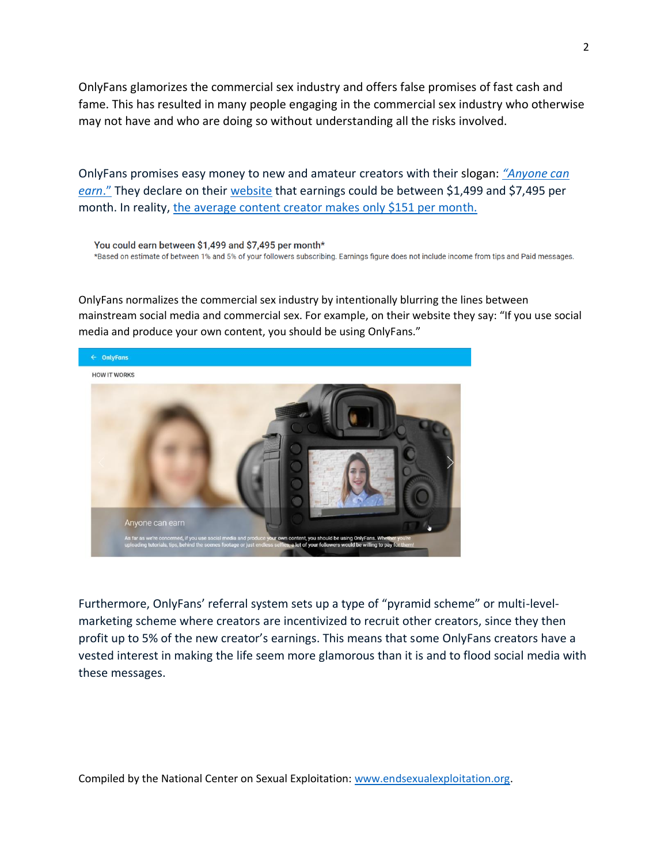OnlyFans glamorizes the commercial sex industry and offers false promises of fast cash and fame. This has resulted in many people engaging in the commercial sex industry who otherwise may not have and who are doing so without understanding all the risks involved.

OnlyFans promises easy money to new and amateur creators with their slogan: *["Anyone can](https://onlyfans.com/how)  [earn](https://onlyfans.com/how)*." They declare on their [website](https://onlyfans.com/how) that earnings could be between \$1,499 and \$7,495 per month. In reality, [the average content creator makes only \\$151 per month.](https://thesmallbusinessblog.net/onlyfans-statistics/#OnlyFans_Demographics_in_2022) 

You could earn between \$1,499 and \$7,495 per month\* \*Based on estimate of between 1% and 5% of your followers subscribing. Earnings figure does not include income from tips and Paid messages.

OnlyFans normalizes the commercial sex industry by intentionally blurring the lines between mainstream social media and commercial sex. For example, on their website they say: "If you use social media and produce your own content, you should be using OnlyFans."



Furthermore, OnlyFans' referral system sets up a type of "pyramid scheme" or multi-levelmarketing scheme where creators are incentivized to recruit other creators, since they then profit up to 5% of the new creator's earnings. This means that some OnlyFans creators have a vested interest in making the life seem more glamorous than it is and to flood social media with these messages.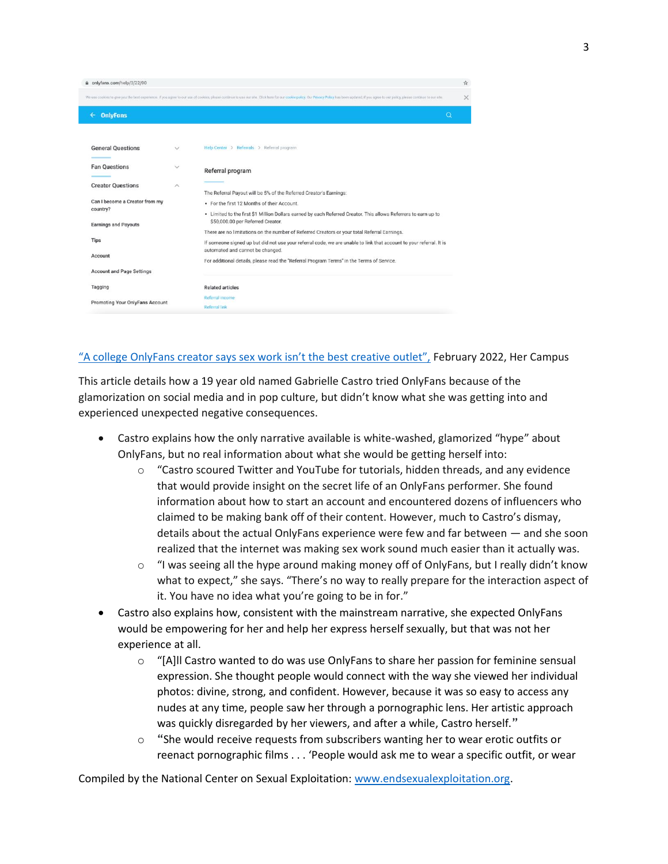

### ["A college OnlyFans creator says sex work isn't the best creative outlet",](https://www.hercampus.com/wellness/college-onlyfans-creator/) February 2022, Her Campus

This article details how a 19 year old named Gabrielle Castro tried OnlyFans because of the glamorization on social media and in pop culture, but didn't know what she was getting into and experienced unexpected negative consequences.

- Castro explains how the only narrative available is white-washed, glamorized "hype" about OnlyFans, but no real information about what she would be getting herself into:
	- $\circ$  "Castro scoured Twitter and YouTube for tutorials, hidden threads, and any evidence that would provide insight on the secret life of an OnlyFans performer. She found information about how to start an account and encountered dozens of influencers who claimed to be making bank off of their content. However, much to Castro's dismay, details about the actual OnlyFans experience were few and far between — and she soon realized that the internet was making sex work sound much easier than it actually was.
	- $\circ$  "I was seeing all the hype around making money off of OnlyFans, but I really didn't know what to expect," she says. "There's no way to really prepare for the interaction aspect of it. You have no idea what you're going to be in for."
- Castro also explains how, consistent with the mainstream narrative, she expected OnlyFans would be empowering for her and help her express herself sexually, but that was not her experience at all.
	- $\circ$  "[A]II Castro wanted to do was use OnlyFans to share her passion for feminine sensual expression. She thought people would connect with the way she viewed her individual photos: divine, strong, and confident. However, because it was so easy to access any nudes at any time, people saw her through a pornographic lens. Her artistic approach was quickly disregarded by her viewers, and after a while, Castro herself."
	- "She would receive requests from subscribers wanting her to wear erotic outfits or reenact pornographic films . . . 'People would ask me to wear a specific outfit, or wear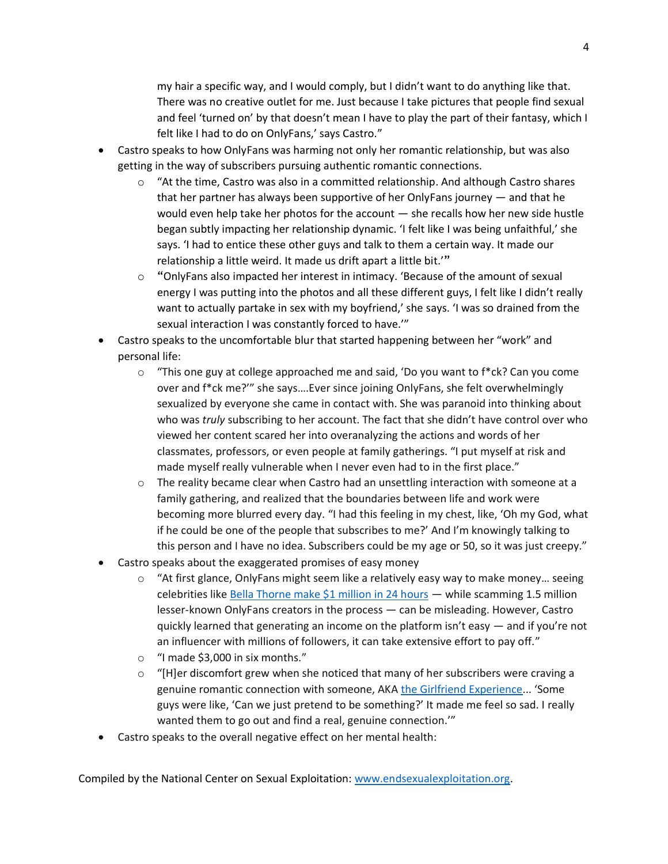my hair a specific way, and I would comply, but I didn't want to do anything like that. There was no creative outlet for me. Just because I take pictures that people find sexual and feel 'turned on' by that doesn't mean I have to play the part of their fantasy, which I felt like I had to do on OnlyFans,' says Castro."

- Castro speaks to how OnlyFans was harming not only her romantic relationship, but was also getting in the way of subscribers pursuing authentic romantic connections.
	- $\circ$  "At the time, Castro was also in a committed relationship. And although Castro shares that her partner has always been supportive of her OnlyFans journey — and that he would even help take her photos for the account — she recalls how her new side hustle began subtly impacting her relationship dynamic. 'I felt like I was being unfaithful,' she says. 'I had to entice these other guys and talk to them a certain way. It made our relationship a little weird. It made us drift apart a little bit.'"
	- $\circ$  "OnlyFans also impacted her interest in intimacy. 'Because of the amount of sexual energy I was putting into the photos and all these different guys, I felt like I didn't really want to actually partake in sex with my boyfriend,' she says. 'I was so drained from the sexual interaction I was constantly forced to have.'"
- Castro speaks to the uncomfortable blur that started happening between her "work" and personal life:
	- $\circ$  "This one guy at college approached me and said, 'Do you want to f\*ck? Can you come over and f\*ck me?'" she says….Ever since joining OnlyFans, she felt overwhelmingly sexualized by everyone she came in contact with. She was paranoid into thinking about who was *truly* subscribing to her account. The fact that she didn't have control over who viewed her content scared her into overanalyzing the actions and words of her classmates, professors, or even people at family gatherings. "I put myself at risk and made myself really vulnerable when I never even had to in the first place."
	- $\circ$  The reality became clear when Castro had an unsettling interaction with someone at a family gathering, and realized that the boundaries between life and work were becoming more blurred every day. "I had this feeling in my chest, like, 'Oh my God, what if he could be one of the people that subscribes to me?' And I'm knowingly talking to this person and I have no idea. Subscribers could be my age or 50, so it was just creepy."
- Castro speaks about the exaggerated promises of easy money
	- $\circ$  "At first glance, OnlyFans might seem like a relatively easy way to make money... seeing celebrities like [Bella Thorne make \\$1 million in 24 hours](https://www.vulture.com/2020/08/belly-thorne-onlyfans-scam-explained.html) — while scamming 1.5 million lesser-known OnlyFans creators in the process — can be misleading. However, Castro quickly learned that generating an income on the platform isn't easy — and if you're not an influencer with millions of followers, it can take extensive effort to pay off."
	- o "I made \$3,000 in six months."
	- $\circ$  "[H]er discomfort grew when she noticed that many of her subscribers were craving a genuine romantic connection with someone, AKA [the Girlfriend Experience.](https://www.esquire.com/lifestyle/sex/videos/a49293/sex-workers-explain-girlfriend-experience/).. 'Some guys were like, 'Can we just pretend to be something?' It made me feel so sad. I really wanted them to go out and find a real, genuine connection.'"
- Castro speaks to the overall negative effect on her mental health: